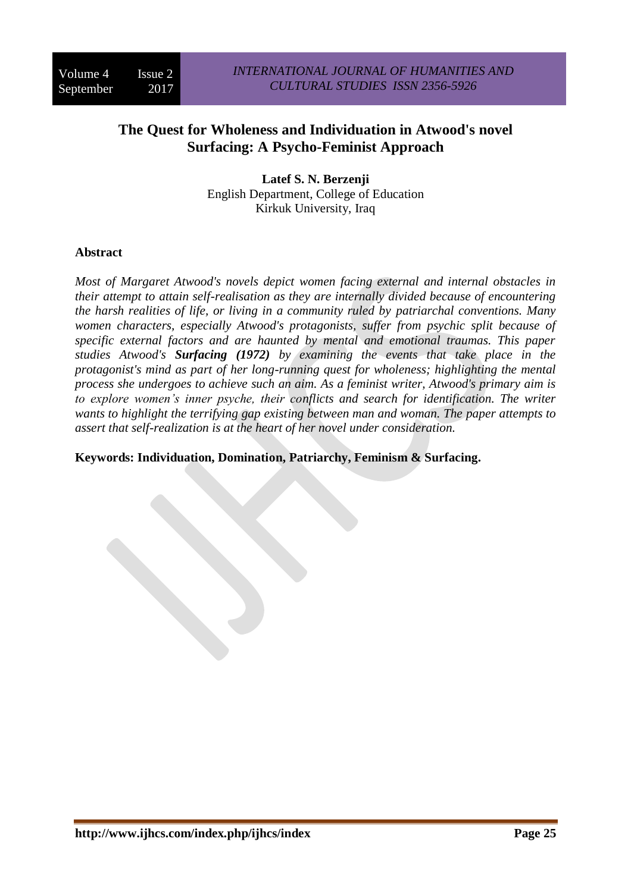# **The Quest for Wholeness and Individuation in Atwood's novel Surfacing: A Psycho-Feminist Approach**

**Latef S. N. Berzenji** English Department, College of Education Kirkuk University, Iraq

# **Abstract**

*Most of Margaret Atwood's novels depict women facing external and internal obstacles in their attempt to attain self-realisation as they are internally divided because of encountering the harsh realities of life, or living in a community ruled by patriarchal conventions. Many women characters, especially Atwood's protagonists, suffer from psychic split because of specific external factors and are haunted by mental and emotional traumas. This paper studies Atwood's Surfacing (1972) by examining the events that take place in the protagonist's mind as part of her long-running quest for wholeness; highlighting the mental process she undergoes to achieve such an aim. As a feminist writer, Atwood's primary aim is to explore women's inner psyche, their conflicts and search for identification. The writer wants to highlight the terrifying gap existing between man and woman. The paper attempts to assert that self-realization is at the heart of her novel under consideration.*

**Keywords: Individuation, Domination, Patriarchy, Feminism & Surfacing.**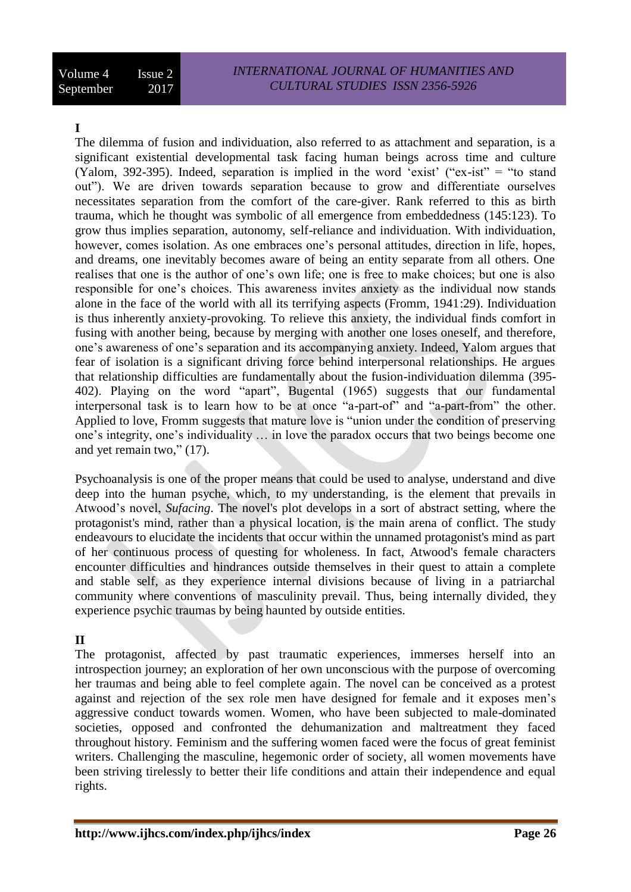# **I**

The dilemma of fusion and individuation, also referred to as attachment and separation, is a significant existential developmental task facing human beings across time and culture (Yalom, 392-395). Indeed, separation is implied in the word 'exist' ("ex-ist" = "to stand out"). We are driven towards separation because to grow and differentiate ourselves necessitates separation from the comfort of the care-giver. Rank referred to this as birth trauma, which he thought was symbolic of all emergence from embeddedness (145:123). To grow thus implies separation, autonomy, self-reliance and individuation. With individuation, however, comes isolation. As one embraces one's personal attitudes, direction in life, hopes, and dreams, one inevitably becomes aware of being an entity separate from all others. One realises that one is the author of one's own life; one is free to make choices; but one is also responsible for one's choices. This awareness invites anxiety as the individual now stands alone in the face of the world with all its terrifying aspects (Fromm, 1941:29). Individuation is thus inherently anxiety-provoking. To relieve this anxiety, the individual finds comfort in fusing with another being, because by merging with another one loses oneself, and therefore, one's awareness of one's separation and its accompanying anxiety. Indeed, Yalom argues that fear of isolation is a significant driving force behind interpersonal relationships. He argues that relationship difficulties are fundamentally about the fusion-individuation dilemma (395- 402). Playing on the word "apart", Bugental (1965) suggests that our fundamental interpersonal task is to learn how to be at once "a-part-of" and "a-part-from" the other. Applied to love, Fromm suggests that mature love is "union under the condition of preserving one's integrity, one's individuality … in love the paradox occurs that two beings become one and yet remain two," (17).

Psychoanalysis is one of the proper means that could be used to analyse, understand and dive deep into the human psyche, which, to my understanding, is the element that prevails in Atwood's novel, *Sufacing*. The novel's plot develops in a sort of abstract setting, where the protagonist's mind, rather than a physical location, is the main arena of conflict. The study endeavours to elucidate the incidents that occur within the unnamed protagonist's mind as part of her continuous process of questing for wholeness. In fact, Atwood's female characters encounter difficulties and hindrances outside themselves in their quest to attain a complete and stable self, as they experience internal divisions because of living in a patriarchal community where conventions of masculinity prevail. Thus, being internally divided, they experience psychic traumas by being haunted by outside entities.

# **II**

The protagonist, affected by past traumatic experiences, immerses herself into an introspection journey; an exploration of her own unconscious with the purpose of overcoming her traumas and being able to feel complete again. The novel can be conceived as a protest against and rejection of the sex role men have designed for female and it exposes men's aggressive conduct towards women. Women, who have been subjected to male-dominated societies, opposed and confronted the dehumanization and maltreatment they faced throughout history. Feminism and the suffering women faced were the focus of great feminist writers. Challenging the masculine, hegemonic order of society, all women movements have been striving tirelessly to better their life conditions and attain their independence and equal rights.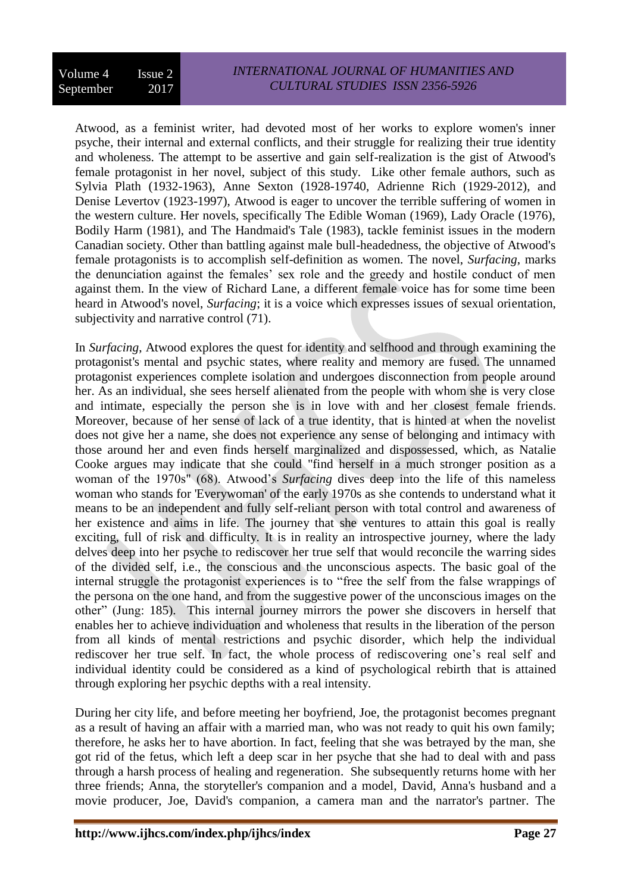#### Volume 4 Issue 2 September 2017 *INTERNATIONAL JOURNAL OF HUMANITIES AND CULTURAL STUDIES ISSN 2356-5926*

Atwood, as a feminist writer, had devoted most of her works to explore women's inner psyche, their internal and external conflicts, and their struggle for realizing their true identity and wholeness. The attempt to be assertive and gain self-realization is the gist of Atwood's female protagonist in her novel, subject of this study. Like other female authors, such as Sylvia Plath (1932-1963), Anne Sexton (1928-19740, Adrienne Rich (1929-2012), and Denise Levertov (1923-1997), Atwood is eager to uncover the terrible suffering of women in the western culture. Her novels, specifically The Edible Woman (1969), Lady Oracle (1976), Bodily Harm (1981), and The Handmaid's Tale (1983), tackle feminist issues in the modern Canadian society. Other than battling against male bull-headedness, the objective of Atwood's female protagonists is to accomplish self-definition as women. The novel, *Surfacing*, marks the denunciation against the females' sex role and the greedy and hostile conduct of men against them. In the view of Richard Lane, a different female voice has for some time been heard in Atwood's novel, *Surfacing*; it is a voice which expresses issues of sexual orientation, subjectivity and narrative control (71).

In *Surfacing*, Atwood explores the quest for identity and selfhood and through examining the protagonist's mental and psychic states, where reality and memory are fused. The unnamed protagonist experiences complete isolation and undergoes disconnection from people around her. As an individual, she sees herself alienated from the people with whom she is very close and intimate, especially the person she is in love with and her closest female friends. Moreover, because of her sense of lack of a true identity, that is hinted at when the novelist does not give her a name, she does not experience any sense of belonging and intimacy with those around her and even finds herself marginalized and dispossessed, which, as Natalie Cooke argues may indicate that she could "find herself in a much stronger position as a woman of the 1970s" (68). Atwood's *Surfacing* dives deep into the life of this nameless woman who stands for 'Everywoman' of the early 1970s as she contends to understand what it means to be an independent and fully self-reliant person with total control and awareness of her existence and aims in life. The journey that she ventures to attain this goal is really exciting, full of risk and difficulty. It is in reality an introspective journey, where the lady delves deep into her psyche to rediscover her true self that would reconcile the warring sides of the divided self, i.e., the conscious and the unconscious aspects. The basic goal of the internal struggle the protagonist experiences is to "free the self from the false wrappings of the persona on the one hand, and from the suggestive power of the unconscious images on the other" (Jung: 185). This internal journey mirrors the power she discovers in herself that enables her to achieve individuation and wholeness that results in the liberation of the person from all kinds of mental restrictions and psychic disorder, which help the individual rediscover her true self. In fact, the whole process of rediscovering one's real self and individual identity could be considered as a kind of psychological rebirth that is attained through exploring her psychic depths with a real intensity.

During her city life, and before meeting her boyfriend, Joe, the protagonist becomes pregnant as a result of having an affair with a married man, who was not ready to quit his own family; therefore, he asks her to have abortion. In fact, feeling that she was betrayed by the man, she got rid of the fetus, which left a deep scar in her psyche that she had to deal with and pass through a harsh process of healing and regeneration. She subsequently returns home with her three friends; Anna, the storyteller's companion and a model, David, Anna's husband and a movie producer, Joe, David's companion, a camera man and the narrator's partner. The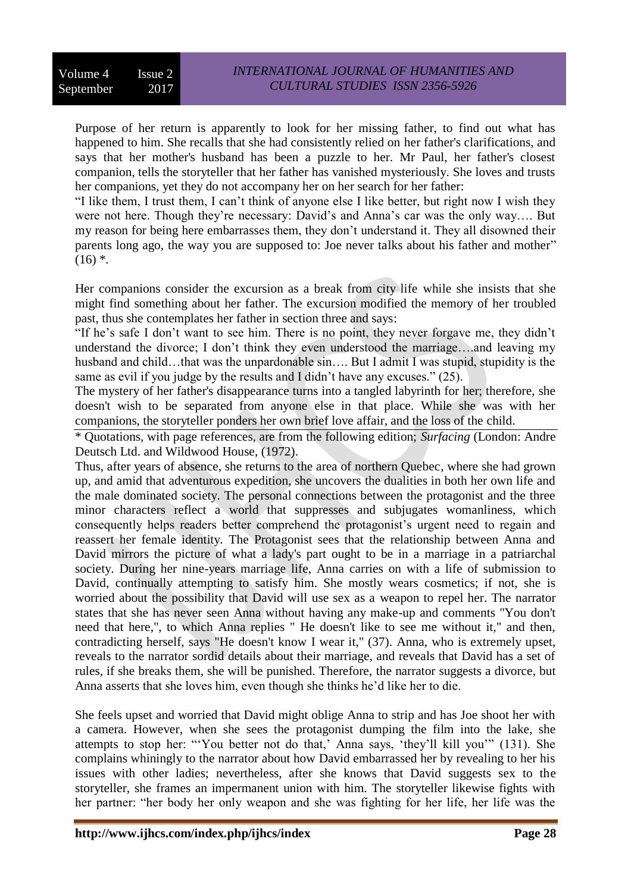Purpose of her return is apparently to look for her missing father, to find out what has happened to him. She recalls that she had consistently relied on her father's clarifications, and says that her mother's husband has been a puzzle to her. Mr Paul, her father's closest companion, tells the storyteller that her father has vanished mysteriously. She loves and trusts her companions, yet they do not accompany her on her search for her father:

"I like them, I trust them, I can't think of anyone else I like better, but right now I wish they were not here. Though they're necessary: David's and Anna's car was the only way…. But my reason for being here embarrasses them, they don't understand it. They all disowned their parents long ago, the way you are supposed to: Joe never talks about his father and mother"  $(16)$  \*.

Her companions consider the excursion as a break from city life while she insists that she might find something about her father. The excursion modified the memory of her troubled past, thus she contemplates her father in section three and says:

"If he's safe I don't want to see him. There is no point, they never forgave me, they didn't understand the divorce; I don't think they even understood the marriage….and leaving my husband and child…that was the unpardonable sin…. But I admit I was stupid, stupidity is the same as evil if you judge by the results and I didn't have any excuses." (25).

The mystery of her father's disappearance turns into a tangled labyrinth for her; therefore, she doesn't wish to be separated from anyone else in that place. While she was with her companions, the storyteller ponders her own brief love affair, and the loss of the child.

\* Quotations, with page references, are from the following edition; *Surfacing* (London: Andre Deutsch Ltd. and Wildwood House, (1972).

Thus, after years of absence, she returns to the area of northern Quebec, where she had grown up, and amid that adventurous expedition, she uncovers the dualities in both her own life and the male dominated society. The personal connections between the protagonist and the three minor characters reflect a world that suppresses and subjugates womanliness, which consequently helps readers better comprehend the protagonist's urgent need to regain and reassert her female identity. The Protagonist sees that the relationship between Anna and David mirrors the picture of what a lady's part ought to be in a marriage in a patriarchal society. During her nine-years marriage life, Anna carries on with a life of submission to David, continually attempting to satisfy him. She mostly wears cosmetics; if not, she is worried about the possibility that David will use sex as a weapon to repel her. The narrator states that she has never seen Anna without having any make-up and comments "You don't need that here,", to which Anna replies " He doesn't like to see me without it," and then, contradicting herself, says "He doesn't know I wear it," (37). Anna, who is extremely upset, reveals to the narrator sordid details about their marriage, and reveals that David has a set of rules, if she breaks them, she will be punished. Therefore, the narrator suggests a divorce, but Anna asserts that she loves him, even though she thinks he'd like her to die.

She feels upset and worried that David might oblige Anna to strip and has Joe shoot her with a camera. However, when she sees the protagonist dumping the film into the lake, she attempts to stop her: "'You better not do that,' Anna says, 'they'll kill you'" (131). She complains whiningly to the narrator about how David embarrassed her by revealing to her his issues with other ladies; nevertheless, after she knows that David suggests sex to the storyteller, she frames an impermanent union with him. The storyteller likewise fights with her partner: "her body her only weapon and she was fighting for her life, her life was the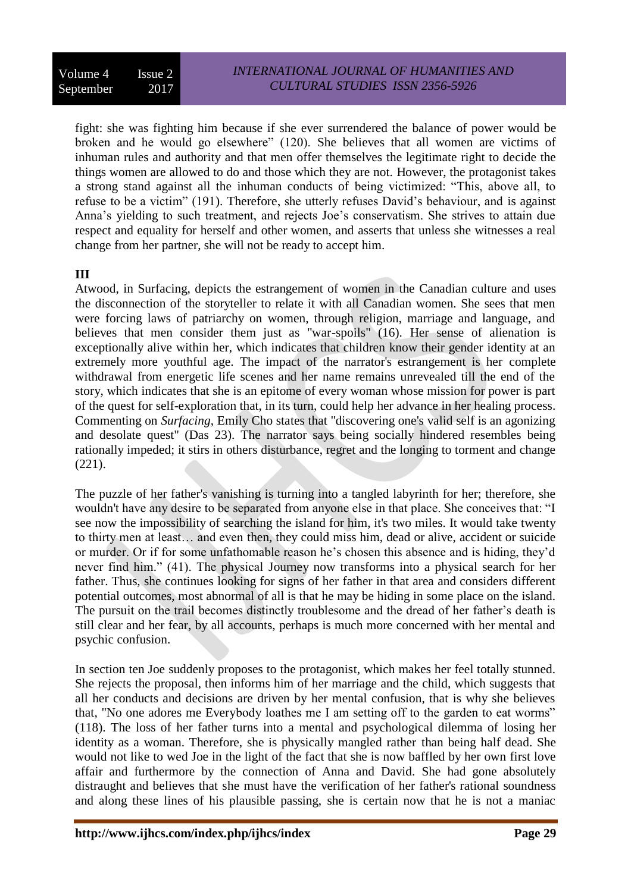fight: she was fighting him because if she ever surrendered the balance of power would be broken and he would go elsewhere" (120). She believes that all women are victims of inhuman rules and authority and that men offer themselves the legitimate right to decide the things women are allowed to do and those which they are not. However, the protagonist takes a strong stand against all the inhuman conducts of being victimized: "This, above all, to refuse to be a victim" (191). Therefore, she utterly refuses David's behaviour, and is against Anna's yielding to such treatment, and rejects Joe's conservatism. She strives to attain due respect and equality for herself and other women, and asserts that unless she witnesses a real change from her partner, she will not be ready to accept him.

# **III**

Atwood, in Surfacing, depicts the estrangement of women in the Canadian culture and uses the disconnection of the storyteller to relate it with all Canadian women. She sees that men were forcing laws of patriarchy on women, through religion, marriage and language, and believes that men consider them just as "war-spoils" (16). Her sense of alienation is exceptionally alive within her, which indicates that children know their gender identity at an extremely more youthful age. The impact of the narrator's estrangement is her complete withdrawal from energetic life scenes and her name remains unrevealed till the end of the story, which indicates that she is an epitome of every woman whose mission for power is part of the quest for self-exploration that, in its turn, could help her advance in her healing process. Commenting on *Surfacing*, Emily Cho states that "discovering one's valid self is an agonizing and desolate quest" (Das 23). The narrator says being socially hindered resembles being rationally impeded; it stirs in others disturbance, regret and the longing to torment and change (221).

The puzzle of her father's vanishing is turning into a tangled labyrinth for her; therefore, she wouldn't have any desire to be separated from anyone else in that place. She conceives that: "I see now the impossibility of searching the island for him, it's two miles. It would take twenty to thirty men at least… and even then, they could miss him, dead or alive, accident or suicide or murder. Or if for some unfathomable reason he's chosen this absence and is hiding, they'd never find him." (41). The physical Journey now transforms into a physical search for her father. Thus, she continues looking for signs of her father in that area and considers different potential outcomes, most abnormal of all is that he may be hiding in some place on the island. The pursuit on the trail becomes distinctly troublesome and the dread of her father's death is still clear and her fear, by all accounts, perhaps is much more concerned with her mental and psychic confusion.

In section ten Joe suddenly proposes to the protagonist, which makes her feel totally stunned. She rejects the proposal, then informs him of her marriage and the child, which suggests that all her conducts and decisions are driven by her mental confusion, that is why she believes that, "No one adores me Everybody loathes me I am setting off to the garden to eat worms" (118). The loss of her father turns into a mental and psychological dilemma of losing her identity as a woman. Therefore, she is physically mangled rather than being half dead. She would not like to wed Joe in the light of the fact that she is now baffled by her own first love affair and furthermore by the connection of Anna and David. She had gone absolutely distraught and believes that she must have the verification of her father's rational soundness and along these lines of his plausible passing, she is certain now that he is not a maniac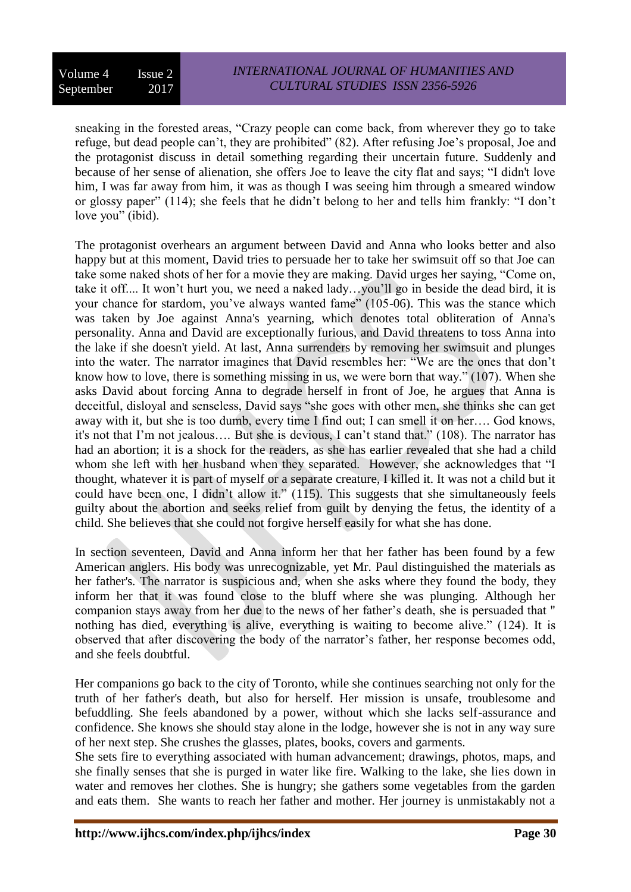sneaking in the forested areas, "Crazy people can come back, from wherever they go to take refuge, but dead people can't, they are prohibited" (82). After refusing Joe's proposal, Joe and the protagonist discuss in detail something regarding their uncertain future. Suddenly and because of her sense of alienation, she offers Joe to leave the city flat and says; "I didn't love him, I was far away from him, it was as though I was seeing him through a smeared window or glossy paper" (114); she feels that he didn't belong to her and tells him frankly: "I don't love you" (ibid).

The protagonist overhears an argument between David and Anna who looks better and also happy but at this moment, David tries to persuade her to take her swimsuit off so that Joe can take some naked shots of her for a movie they are making. David urges her saying, "Come on, take it off.... It won't hurt you, we need a naked lady…you'll go in beside the dead bird, it is your chance for stardom, you've always wanted fame" (105-06). This was the stance which was taken by Joe against Anna's yearning, which denotes total obliteration of Anna's personality. Anna and David are exceptionally furious, and David threatens to toss Anna into the lake if she doesn't yield. At last, Anna surrenders by removing her swimsuit and plunges into the water. The narrator imagines that David resembles her: "We are the ones that don't know how to love, there is something missing in us, we were born that way." (107). When she asks David about forcing Anna to degrade herself in front of Joe, he argues that Anna is deceitful, disloyal and senseless, David says "she goes with other men, she thinks she can get away with it, but she is too dumb, every time I find out; I can smell it on her…. God knows, it's not that I'm not jealous…. But she is devious, I can't stand that." (108). The narrator has had an abortion; it is a shock for the readers, as she has earlier revealed that she had a child whom she left with her husband when they separated. However, she acknowledges that "I thought, whatever it is part of myself or a separate creature, I killed it. It was not a child but it could have been one, I didn't allow it." (115). This suggests that she simultaneously feels guilty about the abortion and seeks relief from guilt by denying the fetus, the identity of a child. She believes that she could not forgive herself easily for what she has done.

In section seventeen, David and Anna inform her that her father has been found by a few American anglers. His body was unrecognizable, yet Mr. Paul distinguished the materials as her father's. The narrator is suspicious and, when she asks where they found the body, they inform her that it was found close to the bluff where she was plunging. Although her companion stays away from her due to the news of her father's death, she is persuaded that " nothing has died, everything is alive, everything is waiting to become alive." (124). It is observed that after discovering the body of the narrator's father, her response becomes odd, and she feels doubtful.

Her companions go back to the city of Toronto, while she continues searching not only for the truth of her father's death, but also for herself. Her mission is unsafe, troublesome and befuddling. She feels abandoned by a power, without which she lacks self-assurance and confidence. She knows she should stay alone in the lodge, however she is not in any way sure of her next step. She crushes the glasses, plates, books, covers and garments.

She sets fire to everything associated with human advancement; drawings, photos, maps, and she finally senses that she is purged in water like fire. Walking to the lake, she lies down in water and removes her clothes. She is hungry; she gathers some vegetables from the garden and eats them. She wants to reach her father and mother. Her journey is unmistakably not a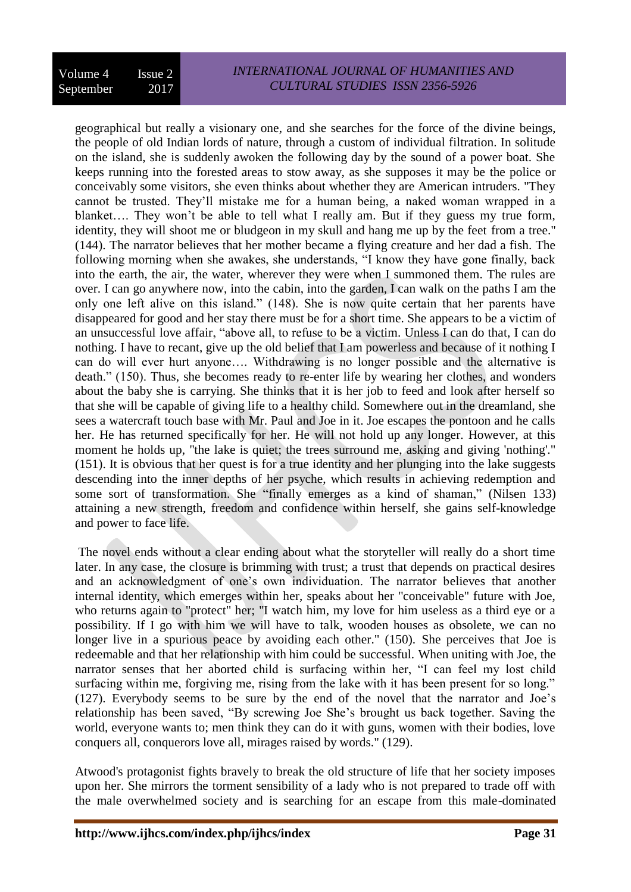geographical but really a visionary one, and she searches for the force of the divine beings, the people of old Indian lords of nature, through a custom of individual filtration. In solitude on the island, she is suddenly awoken the following day by the sound of a power boat. She keeps running into the forested areas to stow away, as she supposes it may be the police or conceivably some visitors, she even thinks about whether they are American intruders. "They cannot be trusted. They'll mistake me for a human being, a naked woman wrapped in a blanket…. They won't be able to tell what I really am. But if they guess my true form, identity, they will shoot me or bludgeon in my skull and hang me up by the feet from a tree." (144). The narrator believes that her mother became a flying creature and her dad a fish. The following morning when she awakes, she understands, "I know they have gone finally, back into the earth, the air, the water, wherever they were when I summoned them. The rules are over. I can go anywhere now, into the cabin, into the garden, I can walk on the paths I am the only one left alive on this island." (148). She is now quite certain that her parents have disappeared for good and her stay there must be for a short time. She appears to be a victim of an unsuccessful love affair, "above all, to refuse to be a victim. Unless I can do that, I can do nothing. I have to recant, give up the old belief that I am powerless and because of it nothing I can do will ever hurt anyone…. Withdrawing is no longer possible and the alternative is death." (150). Thus, she becomes ready to re-enter life by wearing her clothes, and wonders about the baby she is carrying. She thinks that it is her job to feed and look after herself so that she will be capable of giving life to a healthy child. Somewhere out in the dreamland, she sees a watercraft touch base with Mr. Paul and Joe in it. Joe escapes the pontoon and he calls her. He has returned specifically for her. He will not hold up any longer. However, at this moment he holds up, "the lake is quiet; the trees surround me, asking and giving 'nothing'." (151). It is obvious that her quest is for a true identity and her plunging into the lake suggests descending into the inner depths of her psyche, which results in achieving redemption and some sort of transformation. She "finally emerges as a kind of shaman," (Nilsen 133) attaining a new strength, freedom and confidence within herself, she gains self-knowledge and power to face life.

The novel ends without a clear ending about what the storyteller will really do a short time later. In any case, the closure is brimming with trust; a trust that depends on practical desires and an acknowledgment of one's own individuation. The narrator believes that another internal identity, which emerges within her, speaks about her "conceivable" future with Joe, who returns again to "protect" her; "I watch him, my love for him useless as a third eye or a possibility. If I go with him we will have to talk, wooden houses as obsolete, we can no longer live in a spurious peace by avoiding each other." (150). She perceives that Joe is redeemable and that her relationship with him could be successful. When uniting with Joe, the narrator senses that her aborted child is surfacing within her, "I can feel my lost child surfacing within me, forgiving me, rising from the lake with it has been present for so long." (127). Everybody seems to be sure by the end of the novel that the narrator and Joe's relationship has been saved, "By screwing Joe She's brought us back together. Saving the world, everyone wants to; men think they can do it with guns, women with their bodies, love conquers all, conquerors love all, mirages raised by words." (129).

Atwood's protagonist fights bravely to break the old structure of life that her society imposes upon her. She mirrors the torment sensibility of a lady who is not prepared to trade off with the male overwhelmed society and is searching for an escape from this male-dominated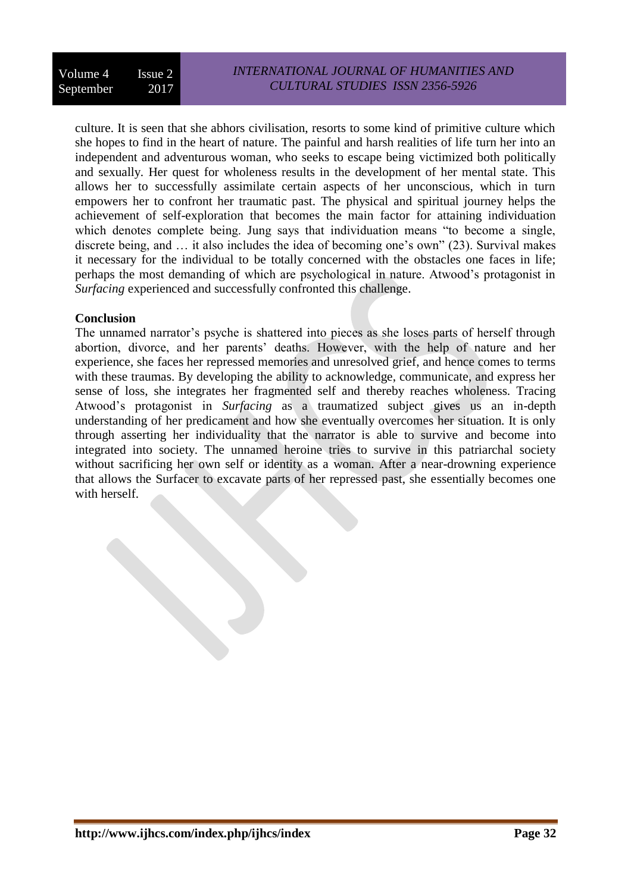culture. It is seen that she abhors civilisation, resorts to some kind of primitive culture which she hopes to find in the heart of nature. The painful and harsh realities of life turn her into an independent and adventurous woman, who seeks to escape being victimized both politically and sexually. Her quest for wholeness results in the development of her mental state. This allows her to successfully assimilate certain aspects of her unconscious, which in turn empowers her to confront her traumatic past. The physical and spiritual journey helps the achievement of self-exploration that becomes the main factor for attaining individuation which denotes complete being. Jung says that individuation means "to become a single, discrete being, and … it also includes the idea of becoming one's own" (23). Survival makes it necessary for the individual to be totally concerned with the obstacles one faces in life; perhaps the most demanding of which are psychological in nature. Atwood's protagonist in *Surfacing* experienced and successfully confronted this challenge.

# **Conclusion**

The unnamed narrator's psyche is shattered into pieces as she loses parts of herself through abortion, divorce, and her parents' deaths. However, with the help of nature and her experience, she faces her repressed memories and unresolved grief, and hence comes to terms with these traumas. By developing the ability to acknowledge, communicate, and express her sense of loss, she integrates her fragmented self and thereby reaches wholeness. Tracing Atwood's protagonist in *Surfacing* as a traumatized subject gives us an in-depth understanding of her predicament and how she eventually overcomes her situation. It is only through asserting her individuality that the narrator is able to survive and become into integrated into society. The unnamed heroine tries to survive in this patriarchal society without sacrificing her own self or identity as a woman. After a near-drowning experience that allows the Surfacer to excavate parts of her repressed past, she essentially becomes one with herself.